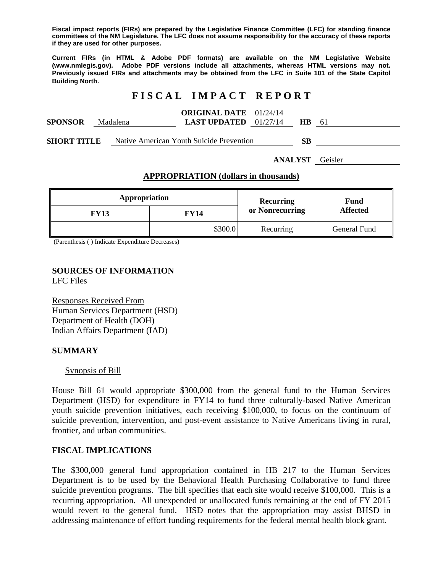**Fiscal impact reports (FIRs) are prepared by the Legislative Finance Committee (LFC) for standing finance committees of the NM Legislature. The LFC does not assume responsibility for the accuracy of these reports if they are used for other purposes.** 

**Current FIRs (in HTML & Adobe PDF formats) are available on the NM Legislative Website (www.nmlegis.gov). Adobe PDF versions include all attachments, whereas HTML versions may not. Previously issued FIRs and attachments may be obtained from the LFC in Suite 101 of the State Capitol Building North.**

# **F I S C A L I M P A C T R E P O R T**

| <b>ORIGINAL DATE</b><br>01/24/14 |  |
|----------------------------------|--|
|----------------------------------|--|

| <b>SPONSOR</b> | Madalena | <b>LAST UPDATED</b> $01/27/14$ |  |  |
|----------------|----------|--------------------------------|--|--|
|                |          |                                |  |  |

**SHORT TITLE** Native American Youth Suicide Prevention **SB** 

**ANALYST** Geisler

#### **APPROPRIATION (dollars in thousands)**

| Appropriation |         | <b>Recurring</b> | Fund            |  |
|---------------|---------|------------------|-----------------|--|
| <b>FY13</b>   | FY14    | or Nonrecurring  | <b>Affected</b> |  |
|               | \$300.0 | Recurring        | General Fund    |  |

(Parenthesis ( ) Indicate Expenditure Decreases)

#### **SOURCES OF INFORMATION**  LFC Files

Responses Received From Human Services Department (HSD) Department of Health (DOH) Indian Affairs Department (IAD)

## **SUMMARY**

## Synopsis of Bill

House Bill 61 would appropriate \$300,000 from the general fund to the Human Services Department (HSD) for expenditure in FY14 to fund three culturally-based Native American youth suicide prevention initiatives, each receiving \$100,000, to focus on the continuum of suicide prevention, intervention, and post-event assistance to Native Americans living in rural, frontier, and urban communities.

## **FISCAL IMPLICATIONS**

The \$300,000 general fund appropriation contained in HB 217 to the Human Services Department is to be used by the Behavioral Health Purchasing Collaborative to fund three suicide prevention programs. The bill specifies that each site would receive \$100,000. This is a recurring appropriation. All unexpended or unallocated funds remaining at the end of FY 2015 would revert to the general fund. HSD notes that the appropriation may assist BHSD in addressing maintenance of effort funding requirements for the federal mental health block grant.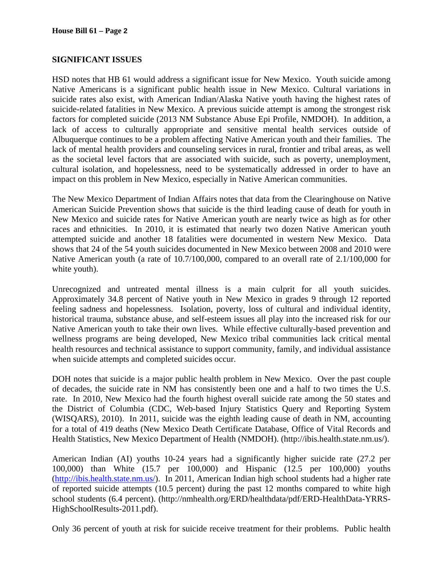# **SIGNIFICANT ISSUES**

HSD notes that HB 61 would address a significant issue for New Mexico. Youth suicide among Native Americans is a significant public health issue in New Mexico. Cultural variations in suicide rates also exist, with American Indian/Alaska Native youth having the highest rates of suicide-related fatalities in New Mexico. A previous suicide attempt is among the strongest risk factors for completed suicide (2013 NM Substance Abuse Epi Profile, NMDOH). In addition, a lack of access to culturally appropriate and sensitive mental health services outside of Albuquerque continues to be a problem affecting Native American youth and their families. The lack of mental health providers and counseling services in rural, frontier and tribal areas, as well as the societal level factors that are associated with suicide, such as poverty, unemployment, cultural isolation, and hopelessness, need to be systematically addressed in order to have an impact on this problem in New Mexico, especially in Native American communities.

The New Mexico Department of Indian Affairs notes that data from the Clearinghouse on Native American Suicide Prevention shows that suicide is the third leading cause of death for youth in New Mexico and suicide rates for Native American youth are nearly twice as high as for other races and ethnicities. In 2010, it is estimated that nearly two dozen Native American youth attempted suicide and another 18 fatalities were documented in western New Mexico. Data shows that 24 of the 54 youth suicides documented in New Mexico between 2008 and 2010 were Native American youth (a rate of 10.7/100,000, compared to an overall rate of 2.1/100,000 for white youth).

Unrecognized and untreated mental illness is a main culprit for all youth suicides. Approximately 34.8 percent of Native youth in New Mexico in grades 9 through 12 reported feeling sadness and hopelessness. Isolation, poverty, loss of cultural and individual identity, historical trauma, substance abuse, and self-esteem issues all play into the increased risk for our Native American youth to take their own lives. While effective culturally-based prevention and wellness programs are being developed, New Mexico tribal communities lack critical mental health resources and technical assistance to support community, family, and individual assistance when suicide attempts and completed suicides occur.

DOH notes that suicide is a major public health problem in New Mexico. Over the past couple of decades, the suicide rate in NM has consistently been one and a half to two times the U.S. rate. In 2010, New Mexico had the fourth highest overall suicide rate among the 50 states and the District of Columbia (CDC, Web-based Injury Statistics Query and Reporting System (WISQARS), 2010). In 2011, suicide was the eighth leading cause of death in NM, accounting for a total of 419 deaths (New Mexico Death Certificate Database, Office of Vital Records and Health Statistics, New Mexico Department of Health (NMDOH). (http://ibis.health.state.nm.us/).

American Indian (AI) youths 10-24 years had a significantly higher suicide rate (27.2 per 100,000) than White (15.7 per 100,000) and Hispanic (12.5 per 100,000) youths (http://ibis.health.state.nm.us/). In 2011, American Indian high school students had a higher rate of reported suicide attempts (10.5 percent) during the past 12 months compared to white high school students (6.4 percent). (http://nmhealth.org/ERD/healthdata/pdf/ERD-HealthData-YRRS-HighSchoolResults-2011.pdf).

Only 36 percent of youth at risk for suicide receive treatment for their problems. Public health